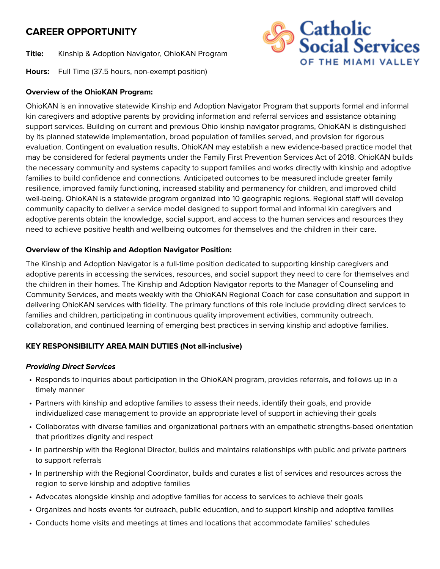# **CAREER OPPORTUNITY**

**Title:** Kinship & Adoption Navigator, OhioKAN Program

**Hours:** Full Time (37.5 hours, non-exempt position)

## **Overview of the OhioKAN Program:**

OhioKAN is an innovative statewide Kinship and Adoption Navigator Program that supports formal and informal kin caregivers and adoptive parents by providing information and referral services and assistance obtaining support services. Building on current and previous Ohio kinship navigator programs, OhioKAN is distinguished by its planned statewide implementation, broad population of families served, and provision for rigorous evaluation. Contingent on evaluation results, OhioKAN may establish a new evidence-based practice model that may be considered for federal payments under the Family First Prevention Services Act of 2018. OhioKAN builds the necessary community and systems capacity to support families and works directly with kinship and adoptive families to build confidence and connections. Anticipated outcomes to be measured include greater family resilience, improved family functioning, increased stability and permanency for children, and improved child well-being. OhioKAN is a statewide program organized into 10 geographic regions. Regional staff will develop community capacity to deliver a service model designed to support formal and informal kin caregivers and adoptive parents obtain the knowledge, social support, and access to the human services and resources they need to achieve positive health and wellbeing outcomes for themselves and the children in their care.

### **Overview of the Kinship and Adoption Navigator Position:**

The Kinship and Adoption Navigator is a full-time position dedicated to supporting kinship caregivers and adoptive parents in accessing the services, resources, and social support they need to care for themselves and the children in their homes. The Kinship and Adoption Navigator reports to the Manager of Counseling and Community Services, and meets weekly with the OhioKAN Regional Coach for case consultation and support in delivering OhioKAN services with fidelity. The primary functions of this role include providing direct services to families and children, participating in continuous quality improvement activities, community outreach, collaboration, and continued learning of emerging best practices in serving kinship and adoptive families.

### **KEY RESPONSIBILITY AREA MAIN DUTIES (Not all-inclusive)**

### *Providing Direct Services*

- Responds to inquiries about participation in the OhioKAN program, provides referrals, and follows up in a timely manner
- Partners with kinship and adoptive families to assess their needs, identify their goals, and provide individualized case management to provide an appropriate level of support in achieving their goals
- Collaborates with diverse families and organizational partners with an empathetic strengths-based orientation that prioritizes dignity and respect
- In partnership with the Regional Director, builds and maintains relationships with public and private partners to support referrals
- In partnership with the Regional Coordinator, builds and curates a list of services and resources across the region to serve kinship and adoptive families
- Advocates alongside kinship and adoptive families for access to services to achieve their goals
- Organizes and hosts events for outreach, public education, and to support kinship and adoptive families
- Conducts home visits and meetings at times and locations that accommodate families' schedules